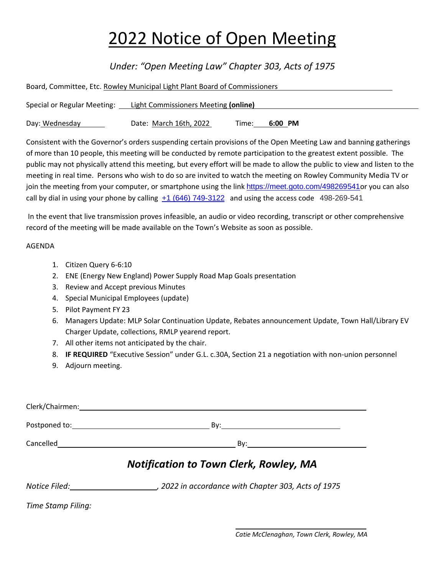## 2022 Notice of Open Meeting

## *Under: "Open Meeting Law" Chapter 303, Acts of 1975*

| Board, Committee, Etc. Rowley Municipal Light Plant Board of Commissioners |                                      |       |         |  |  |  |
|----------------------------------------------------------------------------|--------------------------------------|-------|---------|--|--|--|
| Special or Regular Meeting:                                                | Light Commissioners Meeting (online) |       |         |  |  |  |
| Day: Wednesday                                                             | Date: March 16th, 2022               | Time: | 6:00 PM |  |  |  |

join the meeting from your computer, or smartphone using the link [https://meet.goto.com/498269541](https://meet.goto.com/498269541?_ga=2.77910292.1674584626.1646939868-490572915.1588778847)or you can also Consistent with the Governor's orders suspending certain provisions of the Open Meeting Law and banning gatherings of more than 10 people, this meeting will be conducted by remote participation to the greatest extent possible. The public may not physically attend this meeting, but every effort will be made to allow the public to view and listen to the meeting in real time. Persons who wish to do so are invited to watch the meeting on Rowley Community Media TV or call by dial in using your phone by calling  $+1$  (646) 749-3122 and using the access code 498-269-541

In the event that live transmission proves infeasible, an audio or video recording, transcript or other comprehensive record of the meeting will be made available on the Town's Website as soon as possible.

## AGENDA

- 1. Citizen Query 6-6:10
- 2. ENE (Energy New England) Power Supply Road Map Goals presentation
- 3. Review and Accept previous Minutes
- 4. Special Municipal Employees (update)
- 5. Pilot Payment FY 23
- 6. Managers Update: MLP Solar Continuation Update, Rebates announcement Update, Town Hall/Library EV Charger Update, collections, RMLP yearend report.
- 7. All other items not anticipated by the chair.
- 8. **IF REQUIRED** "Executive Session" under G.L. c.30A, Section 21 a negotiation with non-union personnel
- 9. Adjourn meeting.

| Clerk/Chairmen:                                                                                                                                                                                                                |                                      |  |  |
|--------------------------------------------------------------------------------------------------------------------------------------------------------------------------------------------------------------------------------|--------------------------------------|--|--|
| Postponed to: and the state of the state of the state of the state of the state of the state of the state of the state of the state of the state of the state of the state of the state of the state of the state of the state | By:                                  |  |  |
|                                                                                                                                                                                                                                | Cancelled <b>Cancelled Cancelled</b> |  |  |
| <b>Notification to Town Clerk, Rowley, MA</b>                                                                                                                                                                                  |                                      |  |  |

 *Notice Filed: , 2022 in accordance with Chapter 303, Acts of 1975* 

*Time Stamp Filing:*